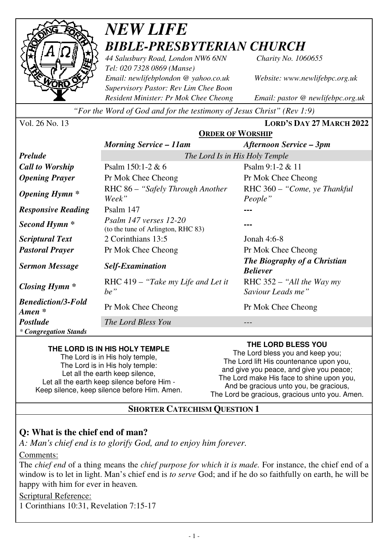

## *NEW LIFE BIBLE-PRESBYTERIAN CHURCH*

*44 Salusbury Road, London NW6 6NN Charity No. 1060655 Tel: 020 7328 0869 (Manse) Email: newlifebplondon @ yahoo.co.uk Website: www.newlifebpc.org.uk Supervisory Pastor: Rev Lim Chee Boon Resident Minister: Pr Mok Chee Cheong Email: pastor @ newlifebpc.org.uk* 

*"For the Word of God and for the testimony of Jesus Christ" (Rev 1:9)*

Vol. 26 No. 13 **LORD'S DAY 27 MARCH 2022**

|                                     | <b>ORDER OF WORSHIP</b>                                      |                                                  |
|-------------------------------------|--------------------------------------------------------------|--------------------------------------------------|
|                                     | <b>Morning Service - 11am</b>                                | <b>Afternoon Service – 3pm</b>                   |
| <b>Prelude</b>                      | The Lord Is in His Holy Temple                               |                                                  |
| <b>Call to Worship</b>              | Psalm $150:1-2 & 6$                                          | Psalm $9:1-2 & 11$                               |
| <b>Opening Prayer</b>               | Pr Mok Chee Cheong                                           | Pr Mok Chee Cheong                               |
| <b>Opening Hymn</b> *               | RHC 86 – "Safely Through Another"<br>Week"                   | RHC 360 - "Come, ye Thankful<br>People"          |
| <b>Responsive Reading</b>           | Psalm 147                                                    |                                                  |
| Second Hymn <sup>*</sup>            | Psalm 147 verses 12-20<br>(to the tune of Arlington, RHC 83) |                                                  |
| <b>Scriptural Text</b>              | 2 Corinthians 13:5                                           | Jonah $4:6-8$                                    |
| <b>Pastoral Prayer</b>              | Pr Mok Chee Cheong                                           | Pr Mok Chee Cheong                               |
| <b>Sermon Message</b>               | <b>Self-Examination</b>                                      | The Biography of a Christian<br><b>Believer</b>  |
| Closing Hymn $*$                    | RHC 419 – "Take my Life and Let it<br>be"                    | RHC $352 -$ "All the Way my<br>Saviour Leads me" |
| <b>Benediction/3-Fold</b><br>Amen * | Pr Mok Chee Cheong                                           | Pr Mok Chee Cheong                               |
| <b>Postlude</b>                     | The Lord Bless You                                           |                                                  |
| * Congregation Stands               |                                                              |                                                  |

### **THE LORD IS IN HIS HOLY TEMPLE**

The Lord is in His holy temple, The Lord is in His holy temple: Let all the earth keep silence, Let all the earth keep silence before Him - Keep silence, keep silence before Him. Amen. **THE LORD BLESS YOU** 

The Lord bless you and keep you; The Lord lift His countenance upon you, and give you peace, and give you peace; The Lord make His face to shine upon you, And be gracious unto you, be gracious, The Lord be gracious, gracious unto you. Amen.

### **SHORTER CATECHISM QUESTION 1**

### **Q: What is the chief end of man?**

*A: Man's chief end is to glorify God, and to enjoy him forever.* 

Comments:

The *chief end* of a thing means the *chief purpose for which it is made.* For instance, the chief end of a window is to let in light. Man's chief end is *to serve* God; and if he do so faithfully on earth, he will be happy with him for ever in heaven*.*

Scriptural Reference: 1 Corinthians 10:31, Revelation 7:15-17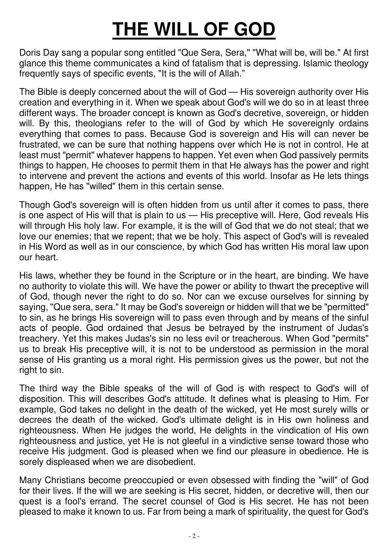# **THE WILL OF GOD**

Doris Day sang a popular song entitled "Que Sera, Sera," "What will be, will be." At first glance this theme communicates a kind of fatalism that is depressing. Islamic theology frequently says of specific events, "It is the will of Allah."

The Bible is deeply concerned about the will of God — His sovereign authority over His creation and everything in it. When we speak about God's will we do so in at least three different ways. The broader concept is known as God's decretive, sovereign, or hidden will. By this, theologians refer to the will of God by which He sovereignly ordains everything that comes to pass. Because God is sovereign and His will can never be frustrated, we can be sure that nothing happens over which He is not in control. He at least must "permit" whatever happens to happen. Yet even when God passively permits things to happen, He chooses to permit them in that He always has the power and right to intervene and prevent the actions and events of this world. Insofar as He lets things happen, He has "willed" them in this certain sense.

Though God's sovereign will is often hidden from us until after it comes to pass, there is one aspect of His will that is plain to us — His preceptive will. Here, God reveals His will through His holy law. For example, it is the will of God that we do not steal; that we love our enemies; that we repent; that we be holy. This aspect of God's will is revealed in His Word as well as in our conscience, by which God has written His moral law upon our heart.

His laws, whether they be found in the Scripture or in the heart, are binding. We have no authority to violate this will. We have the power or ability to thwart the preceptive will of God, though never the right to do so. Nor can we excuse ourselves for sinning by saying, "Que sera, sera." It may be God's sovereign or hidden will that we be "permitted" to sin, as he brings His sovereign will to pass even through and by means of the sinful acts of people. God ordained that Jesus be betrayed by the instrument of Judas's treachery. Yet this makes Judas's sin no less evil or treacherous. When God "permits" us to break His preceptive will, it is not to be understood as permission in the moral sense of His granting us a moral right. His permission gives us the power, but not the right to sin.

The third way the Bible speaks of the will of God is with respect to God's will of disposition. This will describes God's attitude. It defines what is pleasing to Him. For example, God takes no delight in the death of the wicked, yet He most surely wills or decrees the death of the wicked. God's ultimate delight is in His own holiness and righteousness. When He judges the world, He delights in the vindication of His own righteousness and justice, yet He is not gleeful in a vindictive sense toward those who receive His judgment. God is pleased when we find our pleasure in obedience. He is sorely displeased when we are disobedient.

Many Christians become preoccupied or even obsessed with finding the "will" of God for their lives. If the will we are seeking is His secret, hidden, or decretive will, then our quest is a fool's errand. The secret counsel of God is His secret. He has not been pleased to make it known to us. Far from being a mark of spirituality, the quest for God's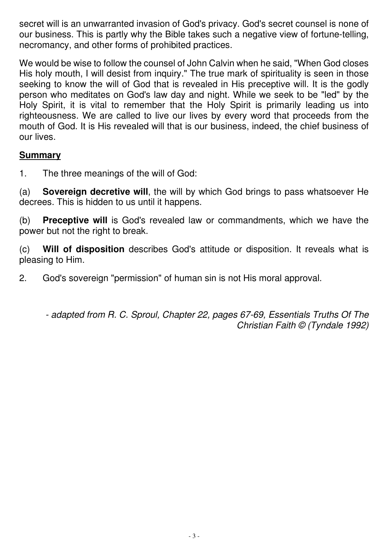secret will is an unwarranted invasion of God's privacy. God's secret counsel is none of our business. This is partly why the Bible takes such a negative view of fortune-telling, necromancy, and other forms of prohibited practices.

We would be wise to follow the counsel of John Calvin when he said, "When God closes His holy mouth, I will desist from inquiry." The true mark of spirituality is seen in those seeking to know the will of God that is revealed in His preceptive will. It is the godly person who meditates on God's law day and night. While we seek to be "led" by the Holy Spirit, it is vital to remember that the Holy Spirit is primarily leading us into righteousness. We are called to live our lives by every word that proceeds from the mouth of God. It is His revealed will that is our business, indeed, the chief business of our lives.

### **Summary**

1. The three meanings of the will of God:

(a) **Sovereign decretive will**, the will by which God brings to pass whatsoever He decrees. This is hidden to us until it happens.

(b) **Preceptive will** is God's revealed law or commandments, which we have the power but not the right to break.

(c) **Will of disposition** describes God's attitude or disposition. It reveals what is pleasing to Him.

2. God's sovereign "permission" of human sin is not His moral approval.

- adapted from R. C. Sproul, Chapter 22, pages 67-69, Essentials Truths Of The Christian Faith © (Tyndale 1992)